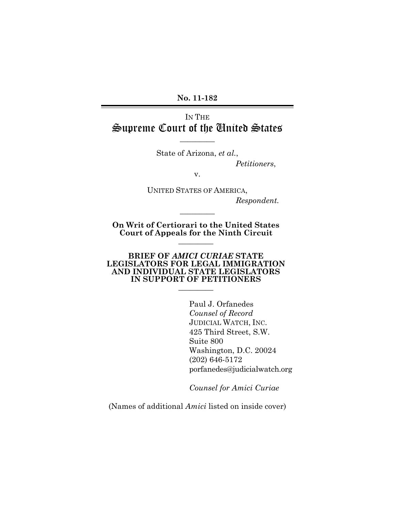**No. 11-182** 

# IN THE Supreme Court of the United States

State of Arizona, *et al.*,

 $\overline{\phantom{a}}$ 

 *Petitioners*,

v.

UNITED STATES OF AMERICA,  *Respondent.* 

**On Writ of Certiorari to the United States Court of Appeals for the Ninth Circuit**   $\overline{\phantom{a}}$   $\overline{\phantom{a}}$ 

 $\overline{\phantom{a}}$ 

### **BRIEF OF** *AMICI CURIAE* **STATE LEGISLATORS FOR LEGAL IMMIGRATION AND INDIVIDUAL STATE LEGISLATORS IN SUPPORT OF PETITIONERS**   $\overline{\phantom{a}}$   $\overline{\phantom{a}}$

 Paul J. Orfanedes *Counsel of Record* JUDICIAL WATCH, INC. 425 Third Street, S.W. Suite 800 Washington, D.C. 20024 (202) 646-5172 porfanedes@judicialwatch.org

 *Counsel for Amici Curiae* 

(Names of additional *Amici* listed on inside cover)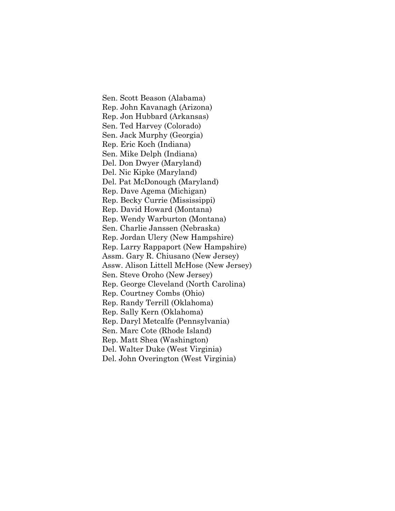Sen. Scott Beason (Alabama) Rep. John Kavanagh (Arizona) Rep. Jon Hubbard (Arkansas) Sen. Ted Harvey (Colorado) Sen. Jack Murphy (Georgia) Rep. Eric Koch (Indiana) Sen. Mike Delph (Indiana) Del. Don Dwyer (Maryland) Del. Nic Kipke (Maryland) Del. Pat McDonough (Maryland) Rep. Dave Agema (Michigan) Rep. Becky Currie (Mississippi) Rep. David Howard (Montana) Rep. Wendy Warburton (Montana) Sen. Charlie Janssen (Nebraska) Rep. Jordan Ulery (New Hampshire) Rep. Larry Rappaport (New Hampshire) Assm. Gary R. Chiusano (New Jersey) Assw. Alison Littell McHose (New Jersey) Sen. Steve Oroho (New Jersey) Rep. George Cleveland (North Carolina) Rep. Courtney Combs (Ohio) Rep. Randy Terrill (Oklahoma) Rep. Sally Kern (Oklahoma) Rep. Daryl Metcalfe (Pennsylvania) Sen. Marc Cote (Rhode Island) Rep. Matt Shea (Washington) Del. Walter Duke (West Virginia) Del. John Overington (West Virginia)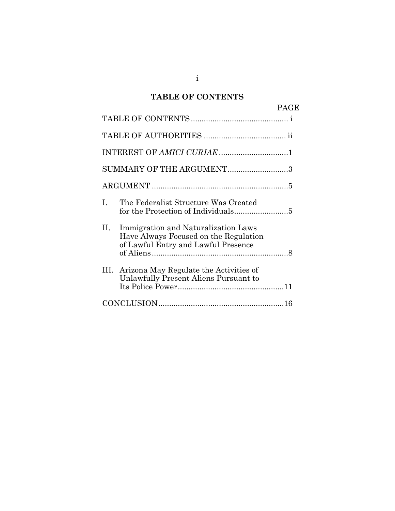# **TABLE OF CONTENTS**

|    |                                                                                                                     | <b>PAGE</b> |
|----|---------------------------------------------------------------------------------------------------------------------|-------------|
|    |                                                                                                                     |             |
|    |                                                                                                                     |             |
|    |                                                                                                                     |             |
|    | SUMMARY OF THE ARGUMENT3                                                                                            |             |
|    |                                                                                                                     |             |
| I. | The Federalist Structure Was Created                                                                                |             |
| П. | Immigration and Naturalization Laws<br>Have Always Focused on the Regulation<br>of Lawful Entry and Lawful Presence |             |
|    | III. Arizona May Regulate the Activities of<br>Unlawfully Present Aliens Pursuant to                                |             |
|    |                                                                                                                     |             |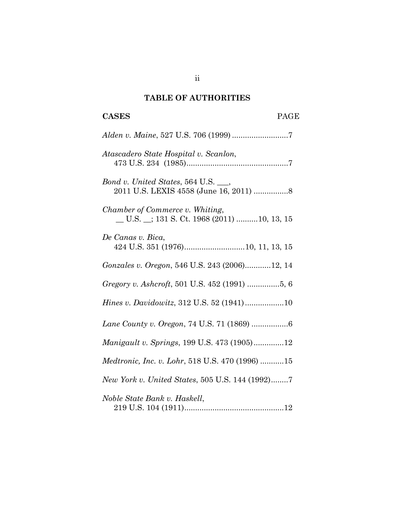# **TABLE OF AUTHORITIES**

# **CASES** PAGE

| Atascadero State Hospital v. Scanlon,                                                                                             |
|-----------------------------------------------------------------------------------------------------------------------------------|
| Bond v. United States, 564 U.S. ___,<br>2011 U.S. LEXIS 4558 (June 16, 2011)  8                                                   |
| Chamber of Commerce v. Whiting,<br>$\underline{\hspace{1cm}}$ U.S. $\underline{\hspace{1cm}}$ ; 131 S. Ct. 1968 (2011) 10, 13, 15 |
| De Canas v. Bica,                                                                                                                 |
| Gonzales v. Oregon, 546 U.S. 243 (2006)12, 14                                                                                     |
|                                                                                                                                   |
| Hines v. Davidowitz, 312 U.S. 52 (1941)10                                                                                         |
| Lane County v. Oregon, 74 U.S. 71 (1869) 6                                                                                        |
| Manigault v. Springs, 199 U.S. 473 (1905)12                                                                                       |
| Medtronic, Inc. v. Lohr, 518 U.S. 470 (1996) 15                                                                                   |
| New York v. United States, 505 U.S. 144 (1992)7                                                                                   |
| Noble State Bank v. Haskell,                                                                                                      |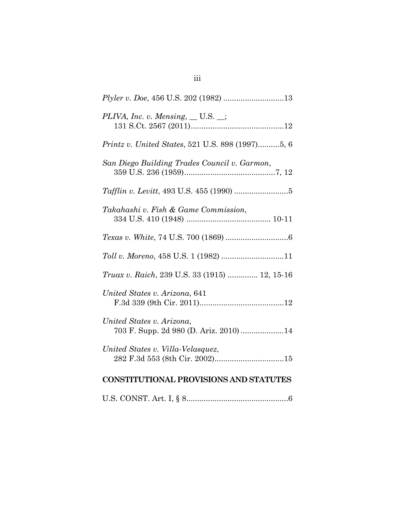| PLIVA, Inc. v. Mensing, $\_\_$ U.S. $\_\$                           |  |  |  |
|---------------------------------------------------------------------|--|--|--|
| <i>Printz v. United States, 521 U.S. 898 (1997)5, 6</i>             |  |  |  |
| San Diego Building Trades Council v. Garmon,                        |  |  |  |
|                                                                     |  |  |  |
| Takahashi v. Fish & Game Commission,                                |  |  |  |
|                                                                     |  |  |  |
|                                                                     |  |  |  |
| <i>Truax v. Raich, 239 U.S. 33 (1915)  12, 15-16</i>                |  |  |  |
| United States v. Arizona, 641                                       |  |  |  |
| United States v. Arizona,<br>703 F. Supp. 2d 980 (D. Ariz. 2010) 14 |  |  |  |
| United States v. Villa-Velasquez,                                   |  |  |  |
| <b>CONSTITUTIONAL PROVISIONS AND STATUTES</b>                       |  |  |  |

U.S. CONST. Art. I, § 8 ............................................... 6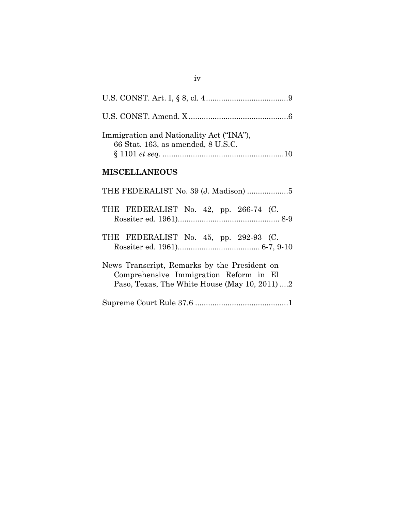| Immigration and Nationality Act ("INA"),<br>66 Stat. 163, as amended, 8 U.S.C.                                                          |
|-----------------------------------------------------------------------------------------------------------------------------------------|
| <b>MISCELLANEOUS</b>                                                                                                                    |
|                                                                                                                                         |
| THE FEDERALIST No. 42, pp. 266-74 (C.                                                                                                   |
| THE FEDERALIST No. 45, pp. 292-93 (C.                                                                                                   |
| News Transcript, Remarks by the President on<br>Comprehensive Immigration Reform in El<br>Paso, Texas, The White House (May 10, 2011) 2 |
|                                                                                                                                         |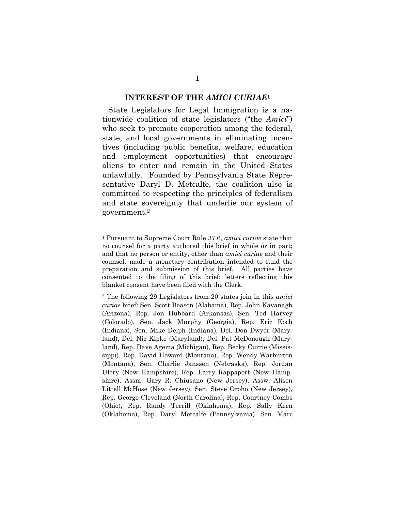#### **INTEREST OF THE** *AMICI CURIAE***<sup>1</sup>**

State Legislators for Legal Immigration is a nationwide coalition of state legislators ("the *Amici*") who seek to promote cooperation among the federal, state, and local governments in eliminating incentives (including public benefits, welfare, education and employment opportunities) that encourage aliens to enter and remain in the United States unlawfully. Founded by Pennsylvania State Representative Daryl D. Metcalfe, the coalition also is committed to respecting the principles of federalism and state sovereignty that underlie our system of government.2

 $\overline{a}$ 

<sup>1</sup> Pursuant to Supreme Court Rule 37.6, *amici curiae* state that no counsel for a party authored this brief in whole or in part; and that no person or entity, other than *amici curiae* and their counsel, made a monetary contribution intended to fund the preparation and submission of this brief. All parties have consented to the filing of this brief; letters reflecting this blanket consent have been filed with the Clerk.

<sup>2</sup> The following 29 Legislators from 20 states join in this *amici curiae* brief: Sen. Scott Beason (Alabama), Rep. John Kavanagh (Arizona), Rep. Jon Hubbard (Arkansas), Sen. Ted Harvey (Colorado), Sen. Jack Murphy (Georgia), Rep. Eric Koch (Indiana), Sen. Mike Delph (Indiana), Del. Don Dwyer (Maryland), Del. Nic Kipke (Maryland), Del. Pat McDonough (Maryland), Rep. Dave Agema (Michigan), Rep. Becky Currie (Mississippi), Rep. David Howard (Montana), Rep. Wendy Warburton (Montana), Sen. Charlie Janssen (Nebraska), Rep. Jordan Ulery (New Hampshire), Rep. Larry Rappaport (New Hampshire), Assm. Gary R. Chiusano (New Jersey), Assw. Alison Littell McHose (New Jersey), Sen. Steve Oroho (New Jersey), Rep. George Cleveland (North Carolina), Rep. Courtney Combs (Ohio), Rep. Randy Terrill (Oklahoma), Rep. Sally Kern (Oklahoma), Rep. Daryl Metcalfe (Pennsylvania), Sen. Marc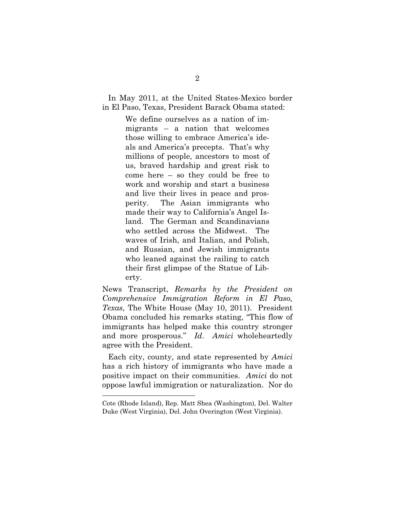In May 2011, at the United States-Mexico border in El Paso, Texas, President Barack Obama stated:

> We define ourselves as a nation of immigrants – a nation that welcomes those willing to embrace America's ideals and America's precepts. That's why millions of people, ancestors to most of us, braved hardship and great risk to come here – so they could be free to work and worship and start a business and live their lives in peace and prosperity. The Asian immigrants who made their way to California's Angel Island. The German and Scandinavians who settled across the Midwest. The waves of Irish, and Italian, and Polish, and Russian, and Jewish immigrants who leaned against the railing to catch their first glimpse of the Statue of Liberty.

News Transcript, *Remarks by the President on Comprehensive Immigration Reform in El Paso, Texas*, The White House (May 10, 2011). President Obama concluded his remarks stating, "This flow of immigrants has helped make this country stronger and more prosperous." *Id*. *Amici* wholeheartedly agree with the President.

Each city, county, and state represented by *Amici* has a rich history of immigrants who have made a positive impact on their communities. *Amici* do not oppose lawful immigration or naturalization. Nor do

Cote (Rhode Island), Rep. Matt Shea (Washington), Del. Walter Duke (West Virginia), Del. John Overington (West Virginia).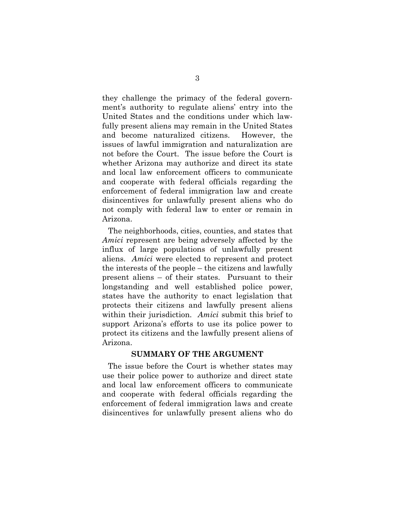they challenge the primacy of the federal government's authority to regulate aliens' entry into the United States and the conditions under which lawfully present aliens may remain in the United States and become naturalized citizens. However, the issues of lawful immigration and naturalization are not before the Court. The issue before the Court is whether Arizona may authorize and direct its state and local law enforcement officers to communicate and cooperate with federal officials regarding the enforcement of federal immigration law and create disincentives for unlawfully present aliens who do not comply with federal law to enter or remain in Arizona.

The neighborhoods, cities, counties, and states that *Amici* represent are being adversely affected by the influx of large populations of unlawfully present aliens. *Amici* were elected to represent and protect the interests of the people – the citizens and lawfully present aliens – of their states. Pursuant to their longstanding and well established police power, states have the authority to enact legislation that protects their citizens and lawfully present aliens within their jurisdiction. *Amici* submit this brief to support Arizona's efforts to use its police power to protect its citizens and the lawfully present aliens of Arizona.

## **SUMMARY OF THE ARGUMENT**

The issue before the Court is whether states may use their police power to authorize and direct state and local law enforcement officers to communicate and cooperate with federal officials regarding the enforcement of federal immigration laws and create disincentives for unlawfully present aliens who do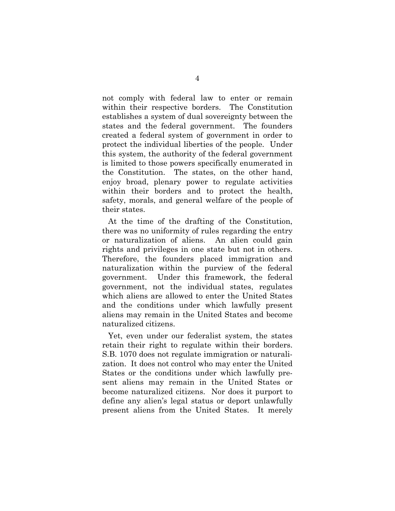not comply with federal law to enter or remain within their respective borders. The Constitution establishes a system of dual sovereignty between the states and the federal government. The founders created a federal system of government in order to protect the individual liberties of the people. Under this system, the authority of the federal government is limited to those powers specifically enumerated in the Constitution. The states, on the other hand, enjoy broad, plenary power to regulate activities within their borders and to protect the health, safety, morals, and general welfare of the people of their states.

At the time of the drafting of the Constitution, there was no uniformity of rules regarding the entry or naturalization of aliens. An alien could gain rights and privileges in one state but not in others. Therefore, the founders placed immigration and naturalization within the purview of the federal government. Under this framework, the federal government, not the individual states, regulates which aliens are allowed to enter the United States and the conditions under which lawfully present aliens may remain in the United States and become naturalized citizens.

Yet, even under our federalist system, the states retain their right to regulate within their borders. S.B. 1070 does not regulate immigration or naturalization. It does not control who may enter the United States or the conditions under which lawfully present aliens may remain in the United States or become naturalized citizens. Nor does it purport to define any alien's legal status or deport unlawfully present aliens from the United States. It merely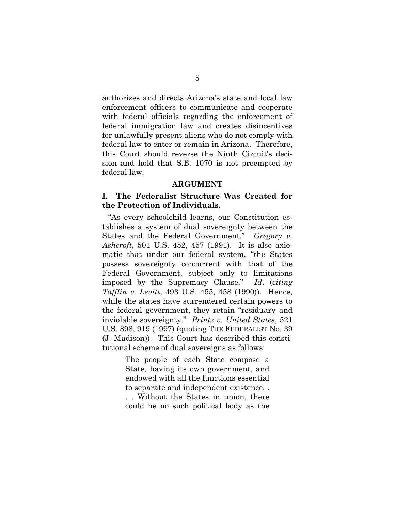authorizes and directs Arizona's state and local law enforcement officers to communicate and cooperate with federal officials regarding the enforcement of federal immigration law and creates disincentives for unlawfully present aliens who do not comply with federal law to enter or remain in Arizona. Therefore, this Court should reverse the Ninth Circuit's decision and hold that S.B. 1070 is not preempted by federal law.

#### **ARGUMENT**

## **I. The Federalist Structure Was Created for the Protection of Individuals.**

"As every schoolchild learns, our Constitution establishes a system of dual sovereignty between the States and the Federal Government." *Gregory v. Ashcroft*, 501 U.S. 452, 457 (1991). It is also axiomatic that under our federal system, "the States possess sovereignty concurrent with that of the Federal Government, subject only to limitations imposed by the Supremacy Clause." *Id*. (*citing Tafflin v. Levitt*, 493 U.S. 455, 458 (1990)). Hence, while the states have surrendered certain powers to the federal government, they retain "residuary and inviolable sovereignty." *Printz v. United States*, 521 U.S. 898, 919 (1997) (quoting THE FEDERALIST No. 39 (J. Madison)). This Court has described this constitutional scheme of dual sovereigns as follows:

> The people of each State compose a State, having its own government, and endowed with all the functions essential to separate and independent existence, . . . Without the States in union, there could be no such political body as the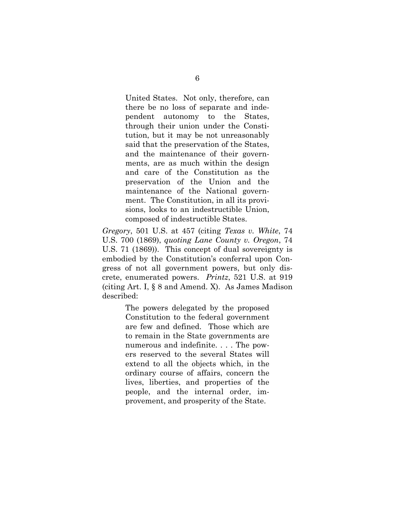United States. Not only, therefore, can there be no loss of separate and independent autonomy to the States, through their union under the Constitution, but it may be not unreasonably said that the preservation of the States, and the maintenance of their governments, are as much within the design and care of the Constitution as the preservation of the Union and the maintenance of the National government. The Constitution, in all its provisions, looks to an indestructible Union, composed of indestructible States.

*Gregory*, 501 U.S. at 457 (citing *Texas v. White*, 74 U.S. 700 (1869), *quoting Lane County v. Oregon*, 74 U.S. 71 (1869)). This concept of dual sovereignty is embodied by the Constitution's conferral upon Congress of not all government powers, but only discrete, enumerated powers. *Printz*, 521 U.S. at 919 (citing Art. I, § 8 and Amend. X). As James Madison described:

> The powers delegated by the proposed Constitution to the federal government are few and defined. Those which are to remain in the State governments are numerous and indefinite. . . . The powers reserved to the several States will extend to all the objects which, in the ordinary course of affairs, concern the lives, liberties, and properties of the people, and the internal order, improvement, and prosperity of the State.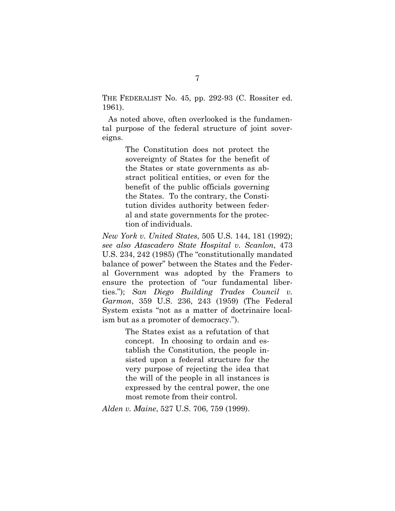THE FEDERALIST No. 45, pp. 292-93 (C. Rossiter ed. 1961).

As noted above, often overlooked is the fundamental purpose of the federal structure of joint sovereigns.

> The Constitution does not protect the sovereignty of States for the benefit of the States or state governments as abstract political entities, or even for the benefit of the public officials governing the States. To the contrary, the Constitution divides authority between federal and state governments for the protection of individuals.

*New York v. United States*, 505 U.S. 144, 181 (1992); *see also Atascadero State Hospital v. Scanlon*, 473 U.S. 234, 242 (1985) (The "constitutionally mandated balance of power" between the States and the Federal Government was adopted by the Framers to ensure the protection of "our fundamental liberties."); *San Diego Building Trades Council v. Garmon*, 359 U.S. 236, 243 (1959) (The Federal System exists "not as a matter of doctrinaire localism but as a promoter of democracy.").

> The States exist as a refutation of that concept. In choosing to ordain and establish the Constitution, the people insisted upon a federal structure for the very purpose of rejecting the idea that the will of the people in all instances is expressed by the central power, the one most remote from their control.

*Alden v. Maine*, 527 U.S. 706, 759 (1999).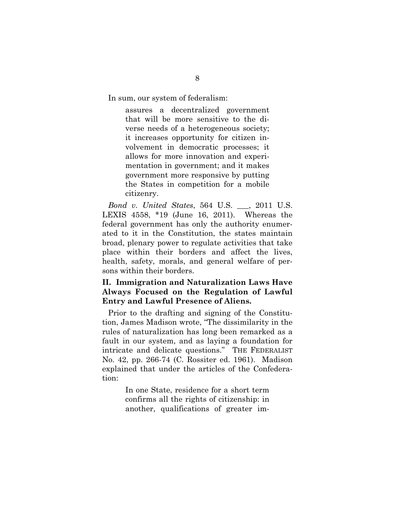In sum, our system of federalism:

assures a decentralized government that will be more sensitive to the diverse needs of a heterogeneous society; it increases opportunity for citizen involvement in democratic processes; it allows for more innovation and experimentation in government; and it makes government more responsive by putting the States in competition for a mobile citizenry.

*Bond v. United States*, 564 U.S. \_\_\_, 2011 U.S. LEXIS 4558, \*19 (June 16, 2011). Whereas the federal government has only the authority enumerated to it in the Constitution, the states maintain broad, plenary power to regulate activities that take place within their borders and affect the lives, health, safety, morals, and general welfare of persons within their borders.

## **II. Immigration and Naturalization Laws Have Always Focused on the Regulation of Lawful Entry and Lawful Presence of Aliens.**

Prior to the drafting and signing of the Constitution, James Madison wrote, "The dissimilarity in the rules of naturalization has long been remarked as a fault in our system, and as laying a foundation for intricate and delicate questions." THE FEDERALIST No. 42, pp. 266-74 (C. Rossiter ed. 1961). Madison explained that under the articles of the Confederation:

> In one State, residence for a short term confirms all the rights of citizenship: in another, qualifications of greater im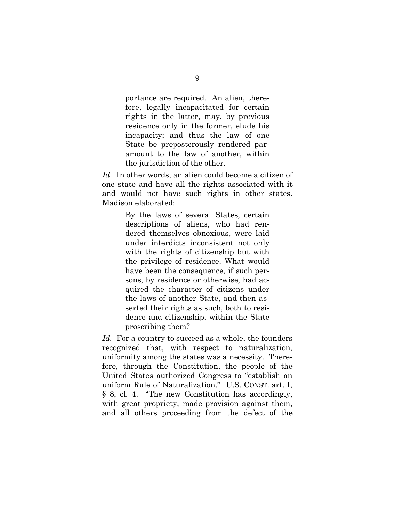portance are required. An alien, therefore, legally incapacitated for certain rights in the latter, may, by previous residence only in the former, elude his incapacity; and thus the law of one State be preposterously rendered paramount to the law of another, within the jurisdiction of the other.

*Id*. In other words, an alien could become a citizen of one state and have all the rights associated with it and would not have such rights in other states. Madison elaborated:

> By the laws of several States, certain descriptions of aliens, who had rendered themselves obnoxious, were laid under interdicts inconsistent not only with the rights of citizenship but with the privilege of residence. What would have been the consequence, if such persons, by residence or otherwise, had acquired the character of citizens under the laws of another State, and then asserted their rights as such, both to residence and citizenship, within the State proscribing them?

*Id.* For a country to succeed as a whole, the founders recognized that, with respect to naturalization, uniformity among the states was a necessity. Therefore, through the Constitution, the people of the United States authorized Congress to "establish an uniform Rule of Naturalization." U.S. CONST. art. I, § 8, cl. 4. "The new Constitution has accordingly, with great propriety, made provision against them, and all others proceeding from the defect of the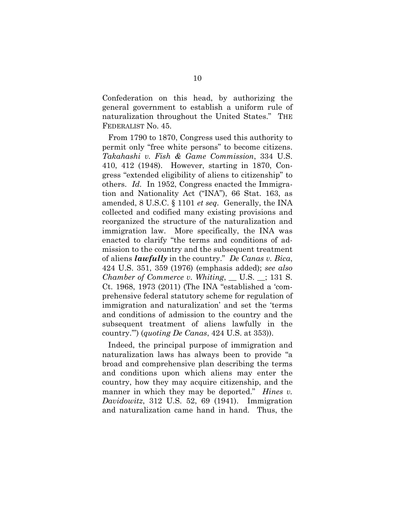Confederation on this head, by authorizing the general government to establish a uniform rule of naturalization throughout the United States." THE FEDERALIST No. 45.

From 1790 to 1870, Congress used this authority to permit only "free white persons" to become citizens. *Takahashi v. Fish & Game Commission*, 334 U.S. 410, 412 (1948). However, starting in 1870, Congress "extended eligibility of aliens to citizenship" to others. *Id.* In 1952, Congress enacted the Immigration and Nationality Act ("INA"), 66 Stat. 163, as amended, 8 U.S.C. § 1101 *et seq*. Generally, the INA collected and codified many existing provisions and reorganized the structure of the naturalization and immigration law. More specifically, the INA was enacted to clarify "the terms and conditions of admission to the country and the subsequent treatment of aliens *lawfully* in the country." *De Canas v. Bica*, 424 U.S. 351, 359 (1976) (emphasis added); *see also Chamber of Commerce v. Whiting*, \_\_ U.S. \_\_; 131 S. Ct. 1968, 1973 (2011) (The INA "established a 'comprehensive federal statutory scheme for regulation of immigration and naturalization' and set the 'terms and conditions of admission to the country and the subsequent treatment of aliens lawfully in the country.'") (*quoting De Canas*, 424 U.S. at 353)).

Indeed, the principal purpose of immigration and naturalization laws has always been to provide "a broad and comprehensive plan describing the terms and conditions upon which aliens may enter the country, how they may acquire citizenship, and the manner in which they may be deported." *Hines v. Davidowitz*, 312 U.S. 52, 69 (1941). Immigration and naturalization came hand in hand. Thus, the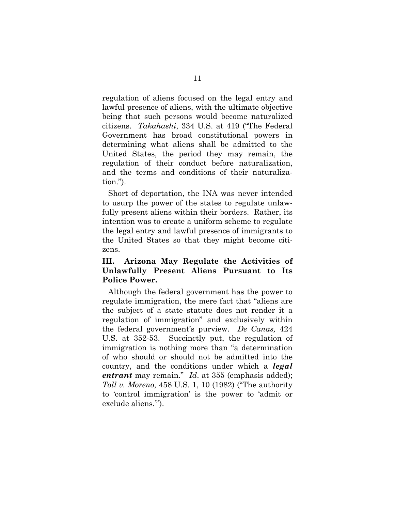regulation of aliens focused on the legal entry and lawful presence of aliens, with the ultimate objective being that such persons would become naturalized citizens. *Takahashi*, 334 U.S. at 419 ("The Federal Government has broad constitutional powers in determining what aliens shall be admitted to the United States, the period they may remain, the regulation of their conduct before naturalization, and the terms and conditions of their naturalization.").

Short of deportation, the INA was never intended to usurp the power of the states to regulate unlawfully present aliens within their borders. Rather, its intention was to create a uniform scheme to regulate the legal entry and lawful presence of immigrants to the United States so that they might become citizens.

## **III. Arizona May Regulate the Activities of Unlawfully Present Aliens Pursuant to Its Police Power.**

Although the federal government has the power to regulate immigration, the mere fact that "aliens are the subject of a state statute does not render it a regulation of immigration" and exclusively within the federal government's purview. *De Canas,* 424 U.S. at 352-53. Succinctly put, the regulation of immigration is nothing more than "a determination of who should or should not be admitted into the country, and the conditions under which a *legal entrant* may remain." *Id*. at 355 (emphasis added); *Toll v. Moreno*, 458 U.S. 1, 10 (1982) ("The authority to 'control immigration' is the power to 'admit or exclude aliens.'").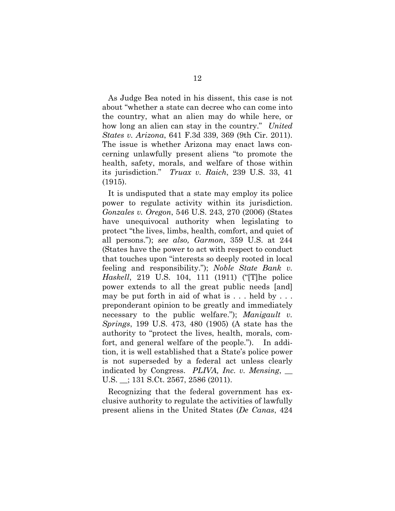As Judge Bea noted in his dissent, this case is not about "whether a state can decree who can come into the country, what an alien may do while here, or how long an alien can stay in the country." *United States v. Arizona*, 641 F.3d 339, 369 (9th Cir. 2011). The issue is whether Arizona may enact laws concerning unlawfully present aliens "to promote the health, safety, morals, and welfare of those within its jurisdiction." *Truax v. Raich*, 239 U.S. 33, 41 (1915).

It is undisputed that a state may employ its police power to regulate activity within its jurisdiction. *Gonzales v. Oregon*, 546 U.S. 243, 270 (2006) (States have unequivocal authority when legislating to protect "the lives, limbs, health, comfort, and quiet of all persons."); *see also, Garmon*, 359 U.S. at 244 (States have the power to act with respect to conduct that touches upon "interests so deeply rooted in local feeling and responsibility."); *Noble State Bank v. Haskell*, 219 U.S. 104, 111 (1911) ("[T]he police power extends to all the great public needs [and] may be put forth in aid of what is . . . held by . . . preponderant opinion to be greatly and immediately necessary to the public welfare."); *Manigault v. Springs*, 199 U.S. 473, 480 (1905) (A state has the authority to "protect the lives, health, morals, comfort, and general welfare of the people."). In addition, it is well established that a State's police power is not superseded by a federal act unless clearly indicated by Congress. *PLIVA, Inc. v. Mensing*, U.S. \_\_; 131 S.Ct. 2567, 2586 (2011).

Recognizing that the federal government has exclusive authority to regulate the activities of lawfully present aliens in the United States (*De Canas*, 424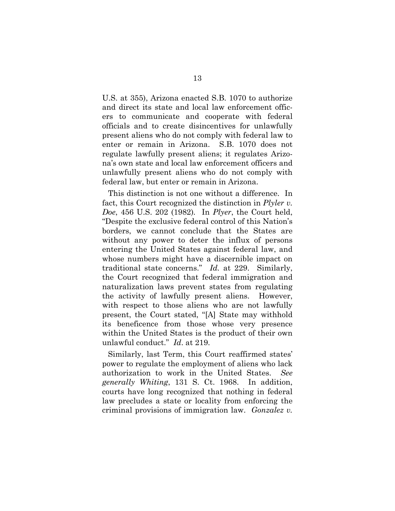U.S. at 355), Arizona enacted S.B. 1070 to authorize and direct its state and local law enforcement officers to communicate and cooperate with federal officials and to create disincentives for unlawfully present aliens who do not comply with federal law to enter or remain in Arizona. S.B. 1070 does not regulate lawfully present aliens; it regulates Arizona's own state and local law enforcement officers and unlawfully present aliens who do not comply with federal law, but enter or remain in Arizona.

This distinction is not one without a difference. In fact, this Court recognized the distinction in *Plyler v. Doe*, 456 U.S. 202 (1982)*.* In *Plyer*, the Court held, "Despite the exclusive federal control of this Nation's borders, we cannot conclude that the States are without any power to deter the influx of persons entering the United States against federal law, and whose numbers might have a discernible impact on traditional state concerns." *Id.* at 229. Similarly, the Court recognized that federal immigration and naturalization laws prevent states from regulating the activity of lawfully present aliens. However, with respect to those aliens who are not lawfully present, the Court stated, "[A] State may withhold its beneficence from those whose very presence within the United States is the product of their own unlawful conduct." *Id*. at 219.

Similarly, last Term, this Court reaffirmed states' power to regulate the employment of aliens who lack authorization to work in the United States. *See generally Whiting*, 131 S. Ct. 1968. In addition, courts have long recognized that nothing in federal law precludes a state or locality from enforcing the criminal provisions of immigration law. *Gonzalez v.*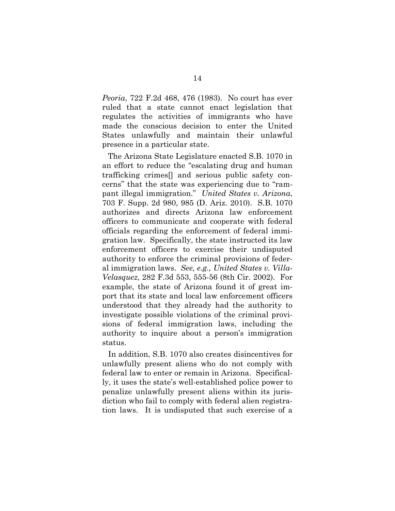*Peoria*, 722 F.2d 468, 476 (1983). No court has ever ruled that a state cannot enact legislation that regulates the activities of immigrants who have made the conscious decision to enter the United States unlawfully and maintain their unlawful presence in a particular state.

The Arizona State Legislature enacted S.B. 1070 in an effort to reduce the "escalating drug and human trafficking crimes[] and serious public safety concerns" that the state was experiencing due to "rampant illegal immigration." *United States v. Arizona*, 703 F. Supp. 2d 980, 985 (D. Ariz. 2010). S.B. 1070 authorizes and directs Arizona law enforcement officers to communicate and cooperate with federal officials regarding the enforcement of federal immigration law. Specifically, the state instructed its law enforcement officers to exercise their undisputed authority to enforce the criminal provisions of federal immigration laws. *See, e.g., United States v. Villa-Velasquez*, 282 F.3d 553, 555-56 (8th Cir. 2002). For example, the state of Arizona found it of great import that its state and local law enforcement officers understood that they already had the authority to investigate possible violations of the criminal provisions of federal immigration laws, including the authority to inquire about a person's immigration status.

In addition, S.B. 1070 also creates disincentives for unlawfully present aliens who do not comply with federal law to enter or remain in Arizona. Specifically, it uses the state's well-established police power to penalize unlawfully present aliens within its jurisdiction who fail to comply with federal alien registration laws. It is undisputed that such exercise of a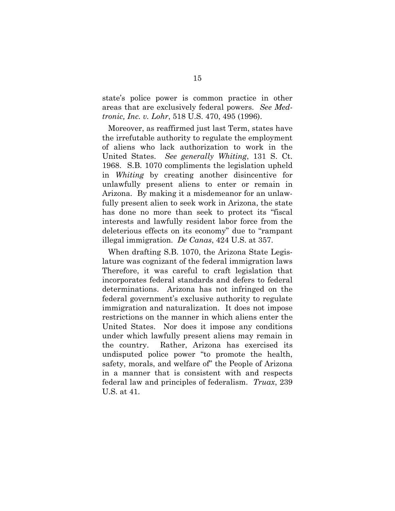state's police power is common practice in other areas that are exclusively federal powers. *See Medtronic, Inc. v. Lohr*, 518 U.S. 470, 495 (1996).

Moreover, as reaffirmed just last Term, states have the irrefutable authority to regulate the employment of aliens who lack authorization to work in the United States. *See generally Whiting*, 131 S. Ct. 1968. S.B. 1070 compliments the legislation upheld in *Whiting* by creating another disincentive for unlawfully present aliens to enter or remain in Arizona. By making it a misdemeanor for an unlawfully present alien to seek work in Arizona, the state has done no more than seek to protect its "fiscal interests and lawfully resident labor force from the deleterious effects on its economy" due to "rampant illegal immigration. *De Canas*, 424 U.S. at 357.

When drafting S.B. 1070, the Arizona State Legislature was cognizant of the federal immigration laws Therefore, it was careful to craft legislation that incorporates federal standards and defers to federal determinations. Arizona has not infringed on the federal government's exclusive authority to regulate immigration and naturalization. It does not impose restrictions on the manner in which aliens enter the United States. Nor does it impose any conditions under which lawfully present aliens may remain in the country. Rather, Arizona has exercised its undisputed police power "to promote the health, safety, morals, and welfare of" the People of Arizona in a manner that is consistent with and respects federal law and principles of federalism. *Truax*, 239 U.S. at 41.